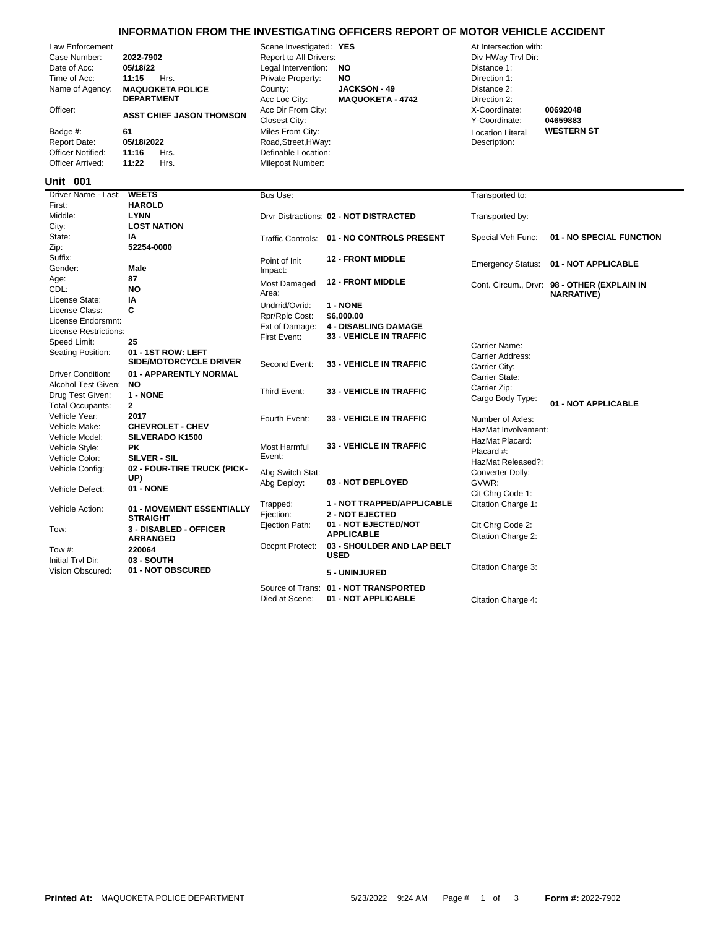## **INFORMATION FROM THE INVESTIGATING OFFICERS REPORT OF MOTOR VEHICLE ACCIDENT**

| Law Enforcement<br>Case Number:<br>Date of Acc:<br>Time of Acc:<br>Name of Agency:<br>Officer:<br>Badge #:<br><b>Report Date:</b><br><b>Officer Notified:</b><br>Officer Arrived:<br>Unit 001 | 2022-7902<br>05/18/22<br>11:15<br>Hrs.<br><b>MAQUOKETA POLICE</b><br><b>DEPARTMENT</b><br><b>ASST CHIEF JASON THOMSON</b><br>61<br>05/18/2022<br>11:16<br>Hrs.<br>Hrs.<br>11:22 | Scene Investigated: YES<br>Report to All Drivers:<br>Legal Intervention:<br>Private Property:<br>County:<br>Acc Loc City:<br>Acc Dir From City:<br>Closest City:<br>Miles From City:<br>Road, Street, HWay:<br>Definable Location:<br>Milepost Number: | <b>NO</b><br><b>NO</b><br><b>JACKSON - 49</b><br><b>MAQUOKETA - 4742</b> | At Intersection with:<br>Div HWay Trvl Dir:<br>Distance 1:<br>Direction 1:<br>Distance 2:<br>Direction 2:<br>X-Coordinate:<br>Y-Coordinate:<br><b>Location Literal</b><br>Description: | 00692048<br>04659883<br><b>WESTERN ST</b>                        |
|-----------------------------------------------------------------------------------------------------------------------------------------------------------------------------------------------|---------------------------------------------------------------------------------------------------------------------------------------------------------------------------------|--------------------------------------------------------------------------------------------------------------------------------------------------------------------------------------------------------------------------------------------------------|--------------------------------------------------------------------------|----------------------------------------------------------------------------------------------------------------------------------------------------------------------------------------|------------------------------------------------------------------|
| Driver Name - Last:                                                                                                                                                                           | <b>WEETS</b>                                                                                                                                                                    | Bus Use:                                                                                                                                                                                                                                               |                                                                          | Transported to:                                                                                                                                                                        |                                                                  |
| First:<br>Middle:<br>City:                                                                                                                                                                    | <b>HAROLD</b><br><b>LYNN</b><br><b>LOST NATION</b>                                                                                                                              |                                                                                                                                                                                                                                                        | Drvr Distractions: 02 - NOT DISTRACTED                                   | Transported by:                                                                                                                                                                        |                                                                  |
| State:                                                                                                                                                                                        | IA                                                                                                                                                                              | <b>Traffic Controls:</b>                                                                                                                                                                                                                               | 01 - NO CONTROLS PRESENT                                                 | Special Veh Func:                                                                                                                                                                      | 01 - NO SPECIAL FUNCTION                                         |
| Zip:<br>Suffix:<br>Gender:                                                                                                                                                                    | 52254-0000<br><b>Male</b>                                                                                                                                                       | Point of Init<br>Impact:                                                                                                                                                                                                                               | <b>12 - FRONT MIDDLE</b>                                                 | <b>Emergency Status:</b>                                                                                                                                                               | 01 - NOT APPLICABLE                                              |
| Age:<br>CDL:                                                                                                                                                                                  | 87<br><b>NO</b>                                                                                                                                                                 | Most Damaged<br>Area:                                                                                                                                                                                                                                  | <b>12 - FRONT MIDDLE</b>                                                 |                                                                                                                                                                                        | Cont. Circum., Drvr: 98 - OTHER (EXPLAIN IN<br><b>NARRATIVE)</b> |
| License State:<br>License Class:                                                                                                                                                              | IA<br>C                                                                                                                                                                         | Undrrid/Ovrid:                                                                                                                                                                                                                                         | 1 - NONE                                                                 |                                                                                                                                                                                        |                                                                  |
| License Endorsmnt:                                                                                                                                                                            |                                                                                                                                                                                 | Rpr/Rplc Cost:                                                                                                                                                                                                                                         | \$6,000.00                                                               |                                                                                                                                                                                        |                                                                  |
| License Restrictions:                                                                                                                                                                         |                                                                                                                                                                                 | Ext of Damage:                                                                                                                                                                                                                                         | <b>4 - DISABLING DAMAGE</b>                                              |                                                                                                                                                                                        |                                                                  |
| Speed Limit:                                                                                                                                                                                  | 25                                                                                                                                                                              | First Event:                                                                                                                                                                                                                                           | <b>33 - VEHICLE IN TRAFFIC</b>                                           | Carrier Name:                                                                                                                                                                          |                                                                  |
| Seating Position:                                                                                                                                                                             | 01 - 1ST ROW: LEFT<br><b>SIDE/MOTORCYCLE DRIVER</b>                                                                                                                             | Second Event:                                                                                                                                                                                                                                          | <b>33 - VEHICLE IN TRAFFIC</b>                                           | Carrier Address:<br>Carrier City:                                                                                                                                                      |                                                                  |
| <b>Driver Condition:</b>                                                                                                                                                                      | 01 - APPARENTLY NORMAL<br><b>NO</b>                                                                                                                                             |                                                                                                                                                                                                                                                        |                                                                          | Carrier State:                                                                                                                                                                         |                                                                  |
| Alcohol Test Given:<br>Drug Test Given:                                                                                                                                                       | 1 - NONE                                                                                                                                                                        | Third Event:                                                                                                                                                                                                                                           | <b>33 - VEHICLE IN TRAFFIC</b>                                           | Carrier Zip:                                                                                                                                                                           |                                                                  |
| <b>Total Occupants:</b>                                                                                                                                                                       | $\mathbf{2}$                                                                                                                                                                    |                                                                                                                                                                                                                                                        |                                                                          | Cargo Body Type:                                                                                                                                                                       | 01 - NOT APPLICABLE                                              |
| Vehicle Year:                                                                                                                                                                                 | 2017                                                                                                                                                                            | Fourth Event:                                                                                                                                                                                                                                          | <b>33 - VEHICLE IN TRAFFIC</b>                                           | Number of Axles:                                                                                                                                                                       |                                                                  |
| Vehicle Make:                                                                                                                                                                                 | <b>CHEVROLET - CHEV</b>                                                                                                                                                         |                                                                                                                                                                                                                                                        |                                                                          | HazMat Involvement:                                                                                                                                                                    |                                                                  |
| Vehicle Model:                                                                                                                                                                                | <b>SILVERADO K1500</b>                                                                                                                                                          |                                                                                                                                                                                                                                                        | <b>33 - VEHICLE IN TRAFFIC</b>                                           | HazMat Placard:                                                                                                                                                                        |                                                                  |
| Vehicle Style:                                                                                                                                                                                | PK.                                                                                                                                                                             | Most Harmful<br>Event:                                                                                                                                                                                                                                 |                                                                          | Placard #:                                                                                                                                                                             |                                                                  |
| Vehicle Color:<br>Vehicle Config:                                                                                                                                                             | SILVER - SIL<br>02 - FOUR-TIRE TRUCK (PICK-                                                                                                                                     |                                                                                                                                                                                                                                                        |                                                                          | HazMat Released?:                                                                                                                                                                      |                                                                  |
|                                                                                                                                                                                               | UP)                                                                                                                                                                             | Abg Switch Stat:                                                                                                                                                                                                                                       |                                                                          | Converter Dolly:                                                                                                                                                                       |                                                                  |
| Vehicle Defect:                                                                                                                                                                               | 01 - NONE                                                                                                                                                                       | Abg Deploy:                                                                                                                                                                                                                                            | 03 - NOT DEPLOYED<br>1 - NOT TRAPPED/APPLICABLE                          | GVWR:<br>Cit Chrg Code 1:                                                                                                                                                              |                                                                  |
| Vehicle Action:                                                                                                                                                                               | 01 - MOVEMENT ESSENTIALLY<br><b>STRAIGHT</b>                                                                                                                                    | Trapped:<br>Ejection:<br>Ejection Path:                                                                                                                                                                                                                | <b>2 - NOT EJECTED</b><br>01 - NOT EJECTED/NOT                           | Citation Charge 1:<br>Cit Chrg Code 2:                                                                                                                                                 |                                                                  |
| Tow:                                                                                                                                                                                          | 3 - DISABLED - OFFICER<br><b>ARRANGED</b>                                                                                                                                       |                                                                                                                                                                                                                                                        | <b>APPLICABLE</b>                                                        | Citation Charge 2:                                                                                                                                                                     |                                                                  |
| Tow #:                                                                                                                                                                                        | 220064                                                                                                                                                                          | Occpnt Protect:                                                                                                                                                                                                                                        | 03 - SHOULDER AND LAP BELT<br><b>USED</b>                                |                                                                                                                                                                                        |                                                                  |
| Initial Trvl Dir:<br><b>Vision Obscured:</b>                                                                                                                                                  | 03 - SOUTH<br>01 - NOT OBSCURED                                                                                                                                                 |                                                                                                                                                                                                                                                        | 5 - UNINJURED                                                            | Citation Charge 3:                                                                                                                                                                     |                                                                  |
|                                                                                                                                                                                               |                                                                                                                                                                                 |                                                                                                                                                                                                                                                        | Source of Trans: 01 - NOT TRANSPORTED                                    |                                                                                                                                                                                        |                                                                  |

Died at Scene: **01 - NOT APPLICABLE** Citation Charge 4: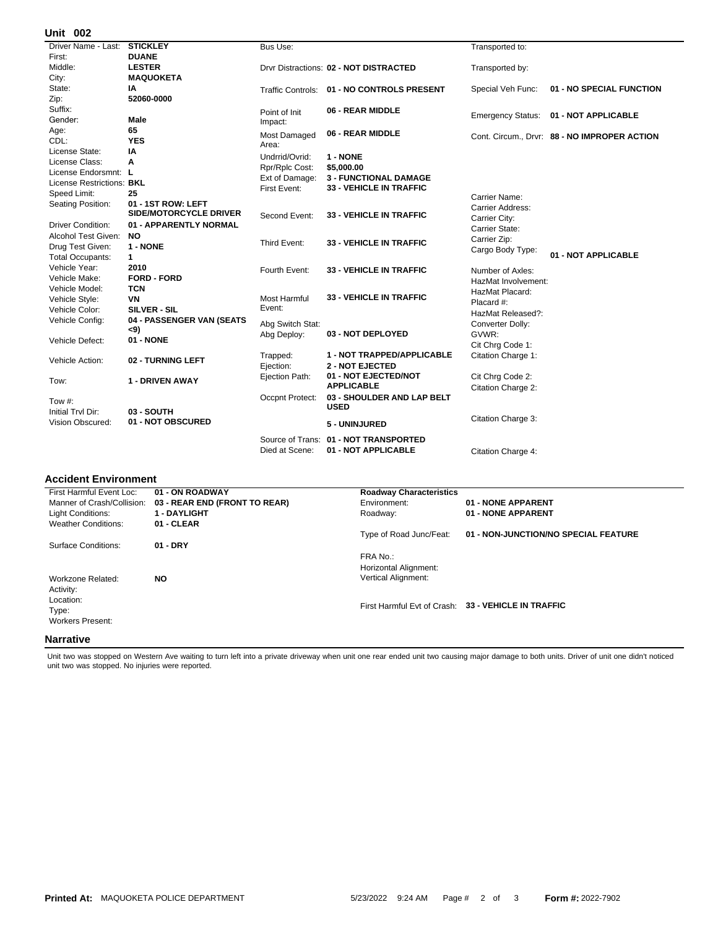## **002 Unit**

| UIIIL VV <del>L</del>     |                                 |                     |                                            |                          |                                            |
|---------------------------|---------------------------------|---------------------|--------------------------------------------|--------------------------|--------------------------------------------|
| Driver Name - Last:       | <b>STICKLEY</b>                 | Bus Use:            |                                            | Transported to:          |                                            |
| First:                    | <b>DUANE</b>                    |                     |                                            |                          |                                            |
| Middle:                   | <b>LESTER</b>                   |                     | Drvr Distractions: 02 - NOT DISTRACTED     | Transported by:          |                                            |
| City:                     | <b>MAQUOKETA</b>                |                     |                                            |                          |                                            |
| State:                    | IA                              |                     | Traffic Controls: 01 - NO CONTROLS PRESENT | Special Veh Func:        | 01 - NO SPECIAL FUNCTION                   |
| Zip:                      | 52060-0000                      |                     |                                            |                          |                                            |
| Suffix:                   |                                 | Point of Init       | 06 - REAR MIDDLE                           |                          | 01 - NOT APPLICABLE                        |
| Gender:                   | Male                            | Impact:             |                                            | <b>Emergency Status:</b> |                                            |
| Age:                      | 65                              | <b>Most Damaged</b> | 06 - REAR MIDDLE                           |                          | Cont. Circum Drvr: 88 - NO IMPROPER ACTION |
| CDL:                      | <b>YES</b>                      | Area:               |                                            |                          |                                            |
| License State:            | ΙA                              | Undrrid/Ovrid:      | 1 - NONE                                   |                          |                                            |
| License Class:            | A                               | Rpr/Rplc Cost:      | \$5,000.00                                 |                          |                                            |
| License Endorsmnt: L      |                                 | Ext of Damage:      | <b>3 - FUNCTIONAL DAMAGE</b>               |                          |                                            |
| License Restrictions: BKL |                                 | First Event:        | <b>33 - VEHICLE IN TRAFFIC</b>             |                          |                                            |
| Speed Limit:              | 25                              |                     |                                            | Carrier Name:            |                                            |
| Seating Position:         | 01 - 1ST ROW: LEFT              |                     |                                            | Carrier Address:         |                                            |
|                           | <b>SIDE/MOTORCYCLE DRIVER</b>   | Second Event:       | <b>33 - VEHICLE IN TRAFFIC</b>             | Carrier City:            |                                            |
| <b>Driver Condition:</b>  | 01 - APPARENTLY NORMAL          |                     |                                            | Carrier State:           |                                            |
| Alcohol Test Given:       | NO.                             |                     |                                            | Carrier Zip:             |                                            |
| Drug Test Given:          | 1 - NONE                        | Third Event:        | <b>33 - VEHICLE IN TRAFFIC</b>             | Cargo Body Type:         |                                            |
| <b>Total Occupants:</b>   | $\mathbf{1}$                    |                     |                                            |                          | 01 - NOT APPLICABLE                        |
| Vehicle Year:             | 2010                            | Fourth Event:       | <b>33 - VEHICLE IN TRAFFIC</b>             | Number of Axles:         |                                            |
| Vehicle Make:             | <b>FORD - FORD</b>              |                     |                                            | HazMat Involvement:      |                                            |
| Vehicle Model:            | <b>TCN</b>                      |                     |                                            | HazMat Placard:          |                                            |
| Vehicle Style:            | <b>VN</b>                       | Most Harmful        | <b>33 - VEHICLE IN TRAFFIC</b>             | Placard #:               |                                            |
| Vehicle Color:            | <b>SILVER - SIL</b>             | Event:              |                                            | HazMat Released?:        |                                            |
| Vehicle Config:           | 04 - PASSENGER VAN (SEATS       | Abg Switch Stat:    |                                            | Converter Dolly:         |                                            |
|                           | <9)                             | Abg Deploy:         | 03 - NOT DEPLOYED                          | GVWR:                    |                                            |
| Vehicle Defect:           | 01 - NONE                       |                     |                                            | Cit Chrg Code 1:         |                                            |
|                           |                                 | Trapped:            | 1 - NOT TRAPPED/APPLICABLE                 | Citation Charge 1:       |                                            |
| Vehicle Action:           | 02 - TURNING LEFT               | Ejection:           | <b>2 - NOT EJECTED</b>                     |                          |                                            |
|                           |                                 | Ejection Path:      | 01 - NOT EJECTED/NOT                       | Cit Chrg Code 2:         |                                            |
| Tow:                      | 1 - DRIVEN AWAY                 |                     | <b>APPLICABLE</b>                          | Citation Charge 2:       |                                            |
|                           |                                 | Occpnt Protect:     | 03 - SHOULDER AND LAP BELT                 |                          |                                            |
| Tow #:                    |                                 |                     | <b>USED</b>                                |                          |                                            |
| Initial Trvl Dir:         | 03 - SOUTH<br>01 - NOT OBSCURED |                     |                                            | Citation Charge 3:       |                                            |
| Vision Obscured:          |                                 |                     | 5 - UNINJURED                              |                          |                                            |
|                           |                                 |                     | Source of Trans: 01 - NOT TRANSPORTED      |                          |                                            |
|                           |                                 | Died at Scene:      | 01 - NOT APPLICABLE                        | Citation Charge 4:       |                                            |
|                           |                                 |                     |                                            |                          |                                            |

÷.

## **Accident Environment**

| First Harmful Event Loc:   | 01 - ON ROADWAY               | <b>Roadway Characteristics</b> |                                                     |
|----------------------------|-------------------------------|--------------------------------|-----------------------------------------------------|
| Manner of Crash/Collision: | 03 - REAR END (FRONT TO REAR) | Environment:                   | 01 - NONE APPARENT                                  |
| Light Conditions:          | <b>1 - DAYLIGHT</b>           | Roadway:                       | 01 - NONE APPARENT                                  |
| <b>Weather Conditions:</b> | 01 - CLEAR                    |                                |                                                     |
|                            |                               | Type of Road Junc/Feat:        | 01 - NON-JUNCTION/NO SPECIAL FEATURE                |
| Surface Conditions:        | $01 - DRY$                    |                                |                                                     |
|                            |                               | FRA No.:                       |                                                     |
|                            |                               | Horizontal Alignment:          |                                                     |
| Workzone Related:          | <b>NO</b>                     | <b>Vertical Alignment:</b>     |                                                     |
| Activity:                  |                               |                                |                                                     |
| Location:                  |                               |                                |                                                     |
| Type:                      |                               |                                | First Harmful Evt of Crash: 33 - VEHICLE IN TRAFFIC |
| <b>Workers Present:</b>    |                               |                                |                                                     |
|                            |                               |                                |                                                     |
| <b>Narrative</b>           |                               |                                |                                                     |

Unit two was stopped on Western Ave waiting to turn left into a private driveway when unit one rear ended unit two causing major damage to both units. Driver of unit one didn't noticed<br>unit two was stopped. No injuries wer